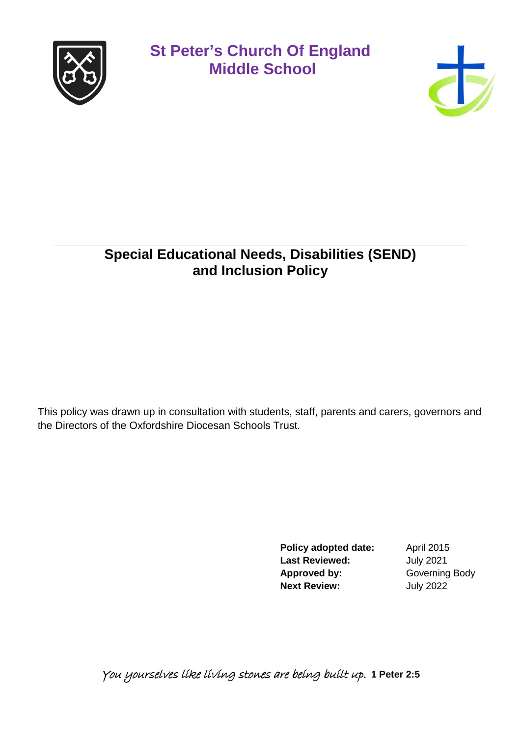



### **Special Educational Needs, Disabilities (SEND) and Inclusion Policy**

This policy was drawn up in consultation with students, staff, parents and carers, governors and the Directors of the Oxfordshire Diocesan Schools Trust.

> **Policy adopted date:** April 2015 **Last Reviewed:** July 2021 **Approved by:** Governing Body **Next Review:** July 2022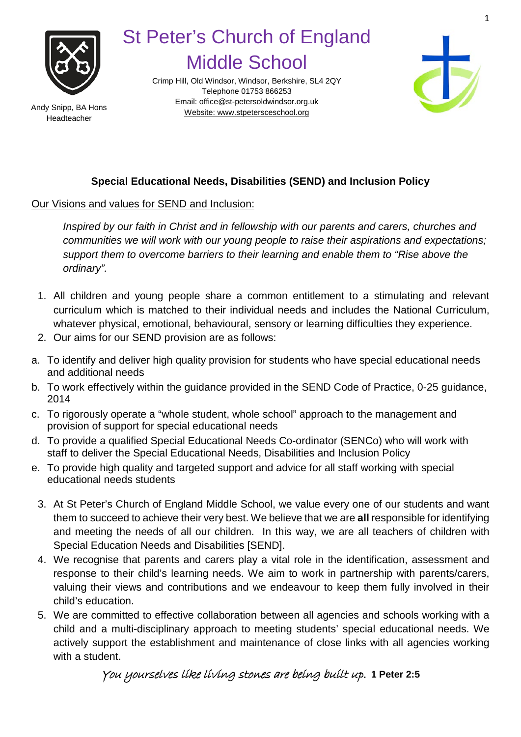

Crimp Hill, Old Windsor, Windsor, Berkshire, SL4 2QY Telephone 01753 866253 Email[: office@st-petersoldwindsor.org.uk](mailto:office@st-petersoldwindsor.org.uk) Andy Snipp, BA Hons<br>Website: www.stpetersceschool.org



### **Special Educational Needs, Disabilities (SEND) and Inclusion Policy**

Our Visions and values for SEND and Inclusion:

*Inspired by our faith in Christ and in fellowship with our parents and carers, churches and communities we will work with our young people to raise their aspirations and expectations; support them to overcome barriers to their learning and enable them to "Rise above the ordinary".*

- 1. All children and young people share a common entitlement to a stimulating and relevant curriculum which is matched to their individual needs and includes the National Curriculum, whatever physical, emotional, behavioural, sensory or learning difficulties they experience.
- 2. Our aims for our SEND provision are as follows:
- a. To identify and deliver high quality provision for students who have special educational needs and additional needs
- b. To work effectively within the guidance provided in the SEND Code of Practice, 0-25 guidance, 2014
- c. To rigorously operate a "whole student, whole school" approach to the management and provision of support for special educational needs
- d. To provide a qualified Special Educational Needs Co-ordinator (SENCo) who will work with staff to deliver the Special Educational Needs, Disabilities and Inclusion Policy
- e. To provide high quality and targeted support and advice for all staff working with special educational needs students
	- 3. At St Peter's Church of England Middle School, we value every one of our students and want them to succeed to achieve their very best. We believe that we are **all** responsible for identifying and meeting the needs of all our children. In this way, we are all teachers of children with Special Education Needs and Disabilities [SEND].
	- 4. We recognise that parents and carers play a vital role in the identification, assessment and response to their child's learning needs. We aim to work in partnership with parents/carers, valuing their views and contributions and we endeavour to keep them fully involved in their child's education.
	- 5. We are committed to effective collaboration between all agencies and schools working with a child and a multi-disciplinary approach to meeting students' special educational needs. We actively support the establishment and maintenance of close links with all agencies working with a student.

You yourselves like living stones are being built up. **1 Peter 2:5**

Headteacher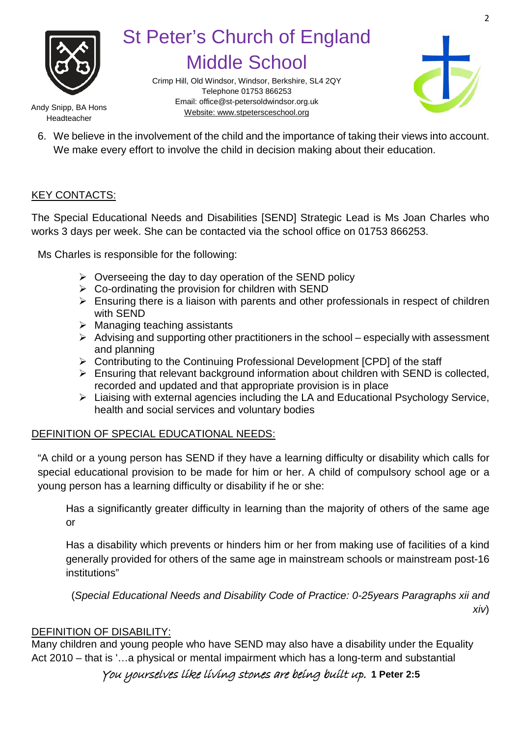

Crimp Hill, Old Windsor, Windsor, Berkshire, SL4 2QY Telephone 01753 866253 Email[: office@st-petersoldwindsor.org.uk](mailto:office@st-petersoldwindsor.org.uk) Andy Snipp, BA Hons<br>Website: www.stpetersceschool.org



Headteacher

6. We believe in the involvement of the child and the importance of taking their views into account. We make every effort to involve the child in decision making about their education.

#### KEY CONTACTS:

The Special Educational Needs and Disabilities [SEND] Strategic Lead is Ms Joan Charles who works 3 days per week. She can be contacted via the school office on 01753 866253.

Ms Charles is responsible for the following:

- $\triangleright$  Overseeing the day to day operation of the SEND policy
- $\triangleright$  Co-ordinating the provision for children with SEND
- $\triangleright$  Ensuring there is a liaison with parents and other professionals in respect of children with SEND
- $\triangleright$  Managing teaching assistants
- $\triangleright$  Advising and supporting other practitioners in the school especially with assessment and planning
- ▶ Contributing to the Continuing Professional Development [CPD] of the staff
- $\triangleright$  Ensuring that relevant background information about children with SEND is collected, recorded and updated and that appropriate provision is in place
- Liaising with external agencies including the LA and Educational Psychology Service, health and social services and voluntary bodies

### DEFINITION OF SPECIAL EDUCATIONAL NEEDS:

"A child or a young person has SEND if they have a learning difficulty or disability which calls for special educational provision to be made for him or her. A child of compulsory school age or a young person has a learning difficulty or disability if he or she:

Has a significantly greater difficulty in learning than the majority of others of the same age or

Has a disability which prevents or hinders him or her from making use of facilities of a kind generally provided for others of the same age in mainstream schools or mainstream post-16 institutions"

(*Special Educational Needs and Disability Code of Practice: 0-25years Paragraphs xii and xiv*)

### DEFINITION OF DISABILITY:

Many children and young people who have SEND may also have a disability under the Equality Act 2010 – that is '…a physical or mental impairment which has a long-term and substantial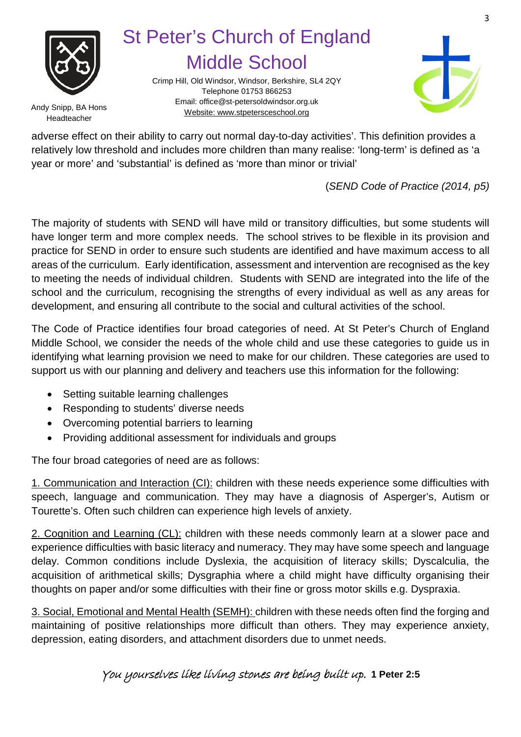

Crimp Hill, Old Windsor, Windsor, Berkshire, SL4 2QY Telephone 01753 866253 Email[: office@st-petersoldwindsor.org.uk](mailto:office@st-petersoldwindsor.org.uk) Andy Snipp, BA Hons<br>Website: www.stpetersceschool.org



Headteacher

adverse effect on their ability to carry out normal day-to-day activities'. This definition provides a relatively low threshold and includes more children than many realise: 'long-term' is defined as 'a year or more' and 'substantial' is defined as 'more than minor or trivial'

(*SEND Code of Practice (2014, p5)*

The majority of students with SEND will have mild or transitory difficulties, but some students will have longer term and more complex needs. The school strives to be flexible in its provision and practice for SEND in order to ensure such students are identified and have maximum access to all areas of the curriculum. Early identification, assessment and intervention are recognised as the key to meeting the needs of individual children. Students with SEND are integrated into the life of the school and the curriculum, recognising the strengths of every individual as well as any areas for development, and ensuring all contribute to the social and cultural activities of the school.

The Code of Practice identifies four broad categories of need. At St Peter's Church of England Middle School, we consider the needs of the whole child and use these categories to guide us in identifying what learning provision we need to make for our children. These categories are used to support us with our planning and delivery and teachers use this information for the following:

- Setting suitable learning challenges
- Responding to students' diverse needs
- Overcoming potential barriers to learning
- Providing additional assessment for individuals and groups

The four broad categories of need are as follows:

1. Communication and Interaction (CI): children with these needs experience some difficulties with speech, language and communication. They may have a diagnosis of Asperger's, Autism or Tourette's. Often such children can experience high levels of anxiety.

2. Cognition and Learning (CL): children with these needs commonly learn at a slower pace and experience difficulties with basic literacy and numeracy. They may have some speech and language delay. Common conditions include Dyslexia, the acquisition of literacy skills; Dyscalculia, the acquisition of arithmetical skills; Dysgraphia where a child might have difficulty organising their thoughts on paper and/or some difficulties with their fine or gross motor skills e.g. Dyspraxia.

3. Social, Emotional and Mental Health (SEMH): children with these needs often find the forging and maintaining of positive relationships more difficult than others. They may experience anxiety, depression, eating disorders, and attachment disorders due to unmet needs.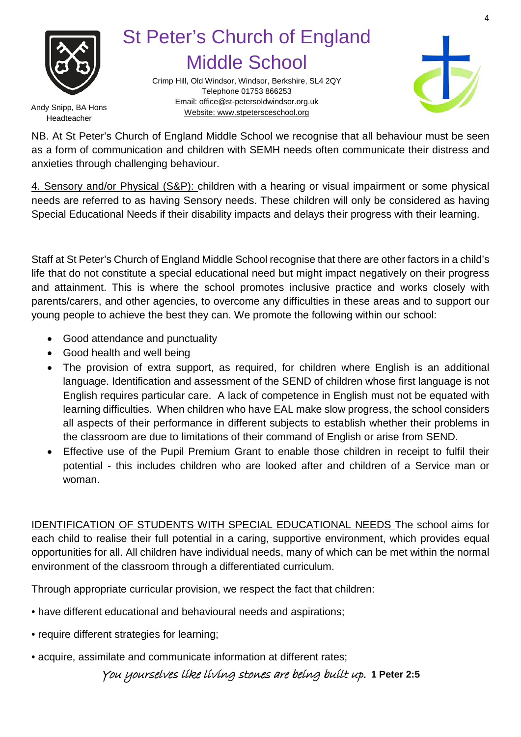

Crimp Hill, Old Windsor, Windsor, Berkshire, SL4 2QY Telephone 01753 866253 Email[: office@st-petersoldwindsor.org.uk](mailto:office@st-petersoldwindsor.org.uk) Andy Snipp, BA Hons<br>Website: www.stpetersceschool.org



Headteacher

NB. At St Peter's Church of England Middle School we recognise that all behaviour must be seen as a form of communication and children with SEMH needs often communicate their distress and anxieties through challenging behaviour.

4. Sensory and/or Physical (S&P): children with a hearing or visual impairment or some physical needs are referred to as having Sensory needs. These children will only be considered as having Special Educational Needs if their disability impacts and delays their progress with their learning.

Staff at St Peter's Church of England Middle School recognise that there are other factors in a child's life that do not constitute a special educational need but might impact negatively on their progress and attainment. This is where the school promotes inclusive practice and works closely with parents/carers, and other agencies, to overcome any difficulties in these areas and to support our young people to achieve the best they can. We promote the following within our school:

- Good attendance and punctuality
- Good health and well being
- The provision of extra support, as required, for children where English is an additional language. Identification and assessment of the SEND of children whose first language is not English requires particular care. A lack of competence in English must not be equated with learning difficulties. When children who have EAL make slow progress, the school considers all aspects of their performance in different subjects to establish whether their problems in the classroom are due to limitations of their command of English or arise from SEND.
- Effective use of the Pupil Premium Grant to enable those children in receipt to fulfil their potential - this includes children who are looked after and children of a Service man or woman.

IDENTIFICATION OF STUDENTS WITH SPECIAL EDUCATIONAL NEEDS The school aims for each child to realise their full potential in a caring, supportive environment, which provides equal opportunities for all. All children have individual needs, many of which can be met within the normal environment of the classroom through a differentiated curriculum.

Through appropriate curricular provision, we respect the fact that children:

- have different educational and behavioural needs and aspirations;
- require different strategies for learning;
- acquire, assimilate and communicate information at different rates;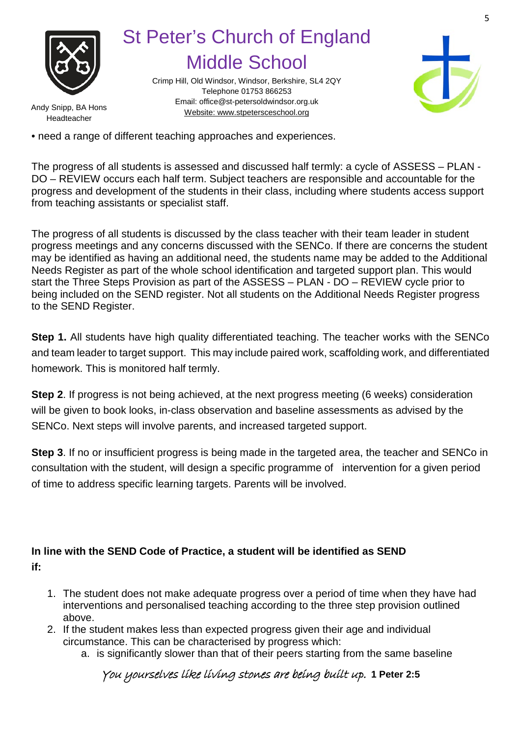

Crimp Hill, Old Windsor, Windsor, Berkshire, SL4 2QY Telephone 01753 866253 Email[: office@st-petersoldwindsor.org.uk](mailto:office@st-petersoldwindsor.org.uk) Andy Snipp, BA Hons<br>Website: www.stpetersceschool.org



Headteacher

• need a range of different teaching approaches and experiences.

The progress of all students is assessed and discussed half termly: a cycle of ASSESS – PLAN - DO – REVIEW occurs each half term. Subject teachers are responsible and accountable for the progress and development of the students in their class, including where students access support from teaching assistants or specialist staff.

The progress of all students is discussed by the class teacher with their team leader in student progress meetings and any concerns discussed with the SENCo. If there are concerns the student may be identified as having an additional need, the students name may be added to the Additional Needs Register as part of the whole school identification and targeted support plan. This would start the Three Steps Provision as part of the ASSESS – PLAN - DO – REVIEW cycle prior to being included on the SEND register. Not all students on the Additional Needs Register progress to the SEND Register.

**Step 1.** All students have high quality differentiated teaching. The teacher works with the SENCo and team leader to target support. This may include paired work, scaffolding work, and differentiated homework. This is monitored half termly.

**Step 2**. If progress is not being achieved, at the next progress meeting (6 weeks) consideration will be given to book looks, in-class observation and baseline assessments as advised by the SENCo. Next steps will involve parents, and increased targeted support.

**Step 3**. If no or insufficient progress is being made in the targeted area, the teacher and SENCo in consultation with the student, will design a specific programme of intervention for a given period of time to address specific learning targets. Parents will be involved.

### **In line with the SEND Code of Practice, a student will be identified as SEND if:**

- 1. The student does not make adequate progress over a period of time when they have had interventions and personalised teaching according to the three step provision outlined above.
- 2. If the student makes less than expected progress given their age and individual circumstance. This can be characterised by progress which:
	- a. is significantly slower than that of their peers starting from the same baseline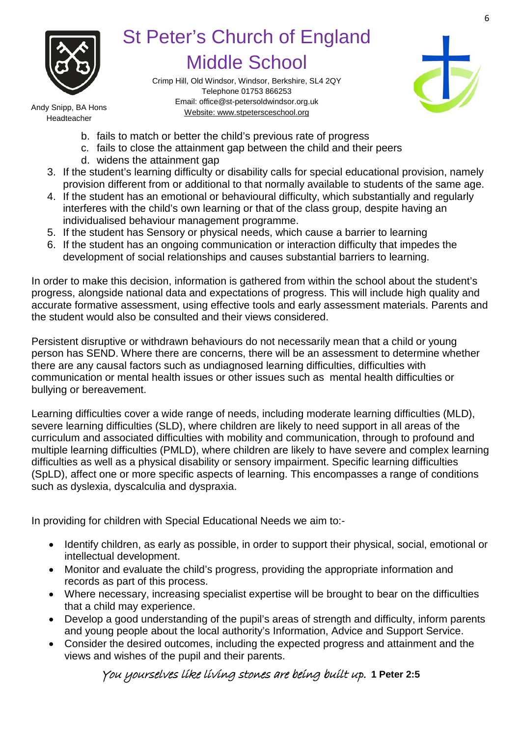

Crimp Hill, Old Windsor, Windsor, Berkshire, SL4 2QY Telephone 01753 866253 Email[: office@st-petersoldwindsor.org.uk](mailto:office@st-petersoldwindsor.org.uk) Andy Snipp, BA Hons<br>Website: www.stpetersceschool.org



Headteacher

- b. fails to match or better the child's previous rate of progress
- c. fails to close the attainment gap between the child and their peers
- d. widens the attainment gap
- 3. If the student's learning difficulty or disability calls for special educational provision, namely provision different from or additional to that normally available to students of the same age.
- 4. If the student has an emotional or behavioural difficulty, which substantially and regularly interferes with the child's own learning or that of the class group, despite having an individualised behaviour management programme.
- 5. If the student has Sensory or physical needs, which cause a barrier to learning
- 6. If the student has an ongoing communication or interaction difficulty that impedes the development of social relationships and causes substantial barriers to learning.

In order to make this decision, information is gathered from within the school about the student's progress, alongside national data and expectations of progress. This will include high quality and accurate formative assessment, using effective tools and early assessment materials. Parents and the student would also be consulted and their views considered.

Persistent disruptive or withdrawn behaviours do not necessarily mean that a child or young person has SEND. Where there are concerns, there will be an assessment to determine whether there are any causal factors such as undiagnosed learning difficulties, difficulties with communication or mental health issues or other issues such as mental health difficulties or bullying or bereavement.

Learning difficulties cover a wide range of needs, including moderate learning difficulties (MLD), severe learning difficulties (SLD), where children are likely to need support in all areas of the curriculum and associated difficulties with mobility and communication, through to profound and multiple learning difficulties (PMLD), where children are likely to have severe and complex learning difficulties as well as a physical disability or sensory impairment. Specific learning difficulties (SpLD), affect one or more specific aspects of learning. This encompasses a range of conditions such as dyslexia, dyscalculia and dyspraxia.

In providing for children with Special Educational Needs we aim to:-

- Identify children, as early as possible, in order to support their physical, social, emotional or intellectual development.
- Monitor and evaluate the child's progress, providing the appropriate information and records as part of this process.
- Where necessary, increasing specialist expertise will be brought to bear on the difficulties that a child may experience.
- Develop a good understanding of the pupil's areas of strength and difficulty, inform parents and young people about the local authority's Information, Advice and Support Service.
- Consider the desired outcomes, including the expected progress and attainment and the views and wishes of the pupil and their parents.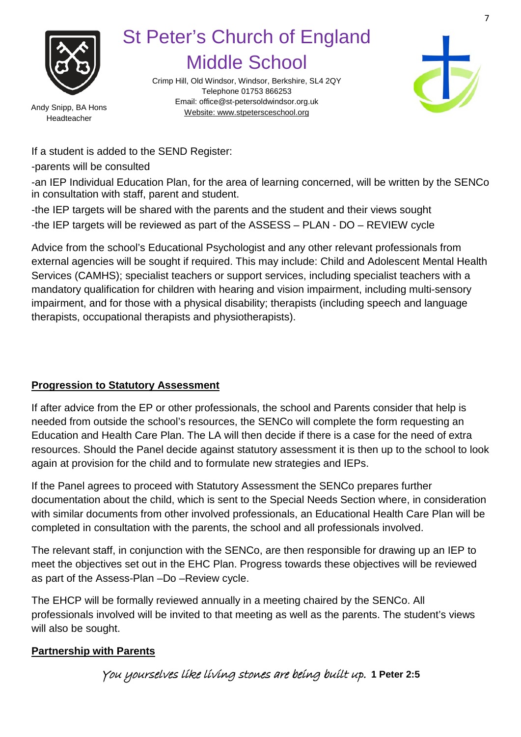

Headteacher

St Peter's Church of England Middle School

Crimp Hill, Old Windsor, Windsor, Berkshire, SL4 2QY Telephone 01753 866253 Email[: office@st-petersoldwindsor.org.uk](mailto:office@st-petersoldwindsor.org.uk) Andy Snipp, BA Hons<br>Website: www.stpetersceschool.org



If a student is added to the SEND Register:

-parents will be consulted

-an IEP Individual Education Plan, for the area of learning concerned, will be written by the SENCo in consultation with staff, parent and student.

-the IEP targets will be shared with the parents and the student and their views sought -the IEP targets will be reviewed as part of the ASSESS – PLAN - DO – REVIEW cycle

Advice from the school's Educational Psychologist and any other relevant professionals from external agencies will be sought if required. This may include: Child and Adolescent Mental Health Services (CAMHS); specialist teachers or support services, including specialist teachers with a mandatory qualification for children with hearing and vision impairment, including multi-sensory impairment, and for those with a physical disability; therapists (including speech and language therapists, occupational therapists and physiotherapists).

### **Progression to Statutory Assessment**

If after advice from the EP or other professionals, the school and Parents consider that help is needed from outside the school's resources, the SENCo will complete the form requesting an Education and Health Care Plan. The LA will then decide if there is a case for the need of extra resources. Should the Panel decide against statutory assessment it is then up to the school to look again at provision for the child and to formulate new strategies and IEPs.

If the Panel agrees to proceed with Statutory Assessment the SENCo prepares further documentation about the child, which is sent to the Special Needs Section where, in consideration with similar documents from other involved professionals, an Educational Health Care Plan will be completed in consultation with the parents, the school and all professionals involved.

The relevant staff, in conjunction with the SENCo, are then responsible for drawing up an IEP to meet the objectives set out in the EHC Plan. Progress towards these objectives will be reviewed as part of the Assess-Plan –Do –Review cycle.

The EHCP will be formally reviewed annually in a meeting chaired by the SENCo. All professionals involved will be invited to that meeting as well as the parents. The student's views will also be sought.

#### **Partnership with Parents**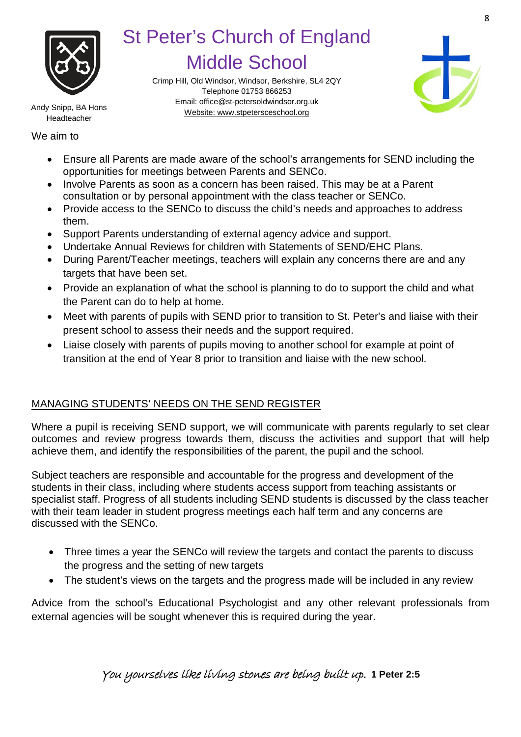

Crimp Hill, Old Windsor, Windsor, Berkshire, SL4 2QY Telephone 01753 866253 Email[: office@st-petersoldwindsor.org.uk](mailto:office@st-petersoldwindsor.org.uk) Andy Snipp, BA Hons<br>Website: www.stpetersceschool.org



Headteacher

We aim to

- Ensure all Parents are made aware of the school's arrangements for SEND including the opportunities for meetings between Parents and SENCo.
- Involve Parents as soon as a concern has been raised. This may be at a Parent consultation or by personal appointment with the class teacher or SENCo.
- Provide access to the SENCo to discuss the child's needs and approaches to address them.
- Support Parents understanding of external agency advice and support.
- Undertake Annual Reviews for children with Statements of SEND/EHC Plans.
- During Parent/Teacher meetings, teachers will explain any concerns there are and any targets that have been set.
- Provide an explanation of what the school is planning to do to support the child and what the Parent can do to help at home.
- Meet with parents of pupils with SEND prior to transition to St. Peter's and liaise with their present school to assess their needs and the support required.
- Liaise closely with parents of pupils moving to another school for example at point of transition at the end of Year 8 prior to transition and liaise with the new school.

### MANAGING STUDENTS' NEEDS ON THE SEND REGISTER

Where a pupil is receiving SEND support, we will communicate with parents regularly to set clear outcomes and review progress towards them, discuss the activities and support that will help achieve them, and identify the responsibilities of the parent, the pupil and the school.

Subject teachers are responsible and accountable for the progress and development of the students in their class, including where students access support from teaching assistants or specialist staff. Progress of all students including SEND students is discussed by the class teacher with their team leader in student progress meetings each half term and any concerns are discussed with the SENCo.

- Three times a year the SENCo will review the targets and contact the parents to discuss the progress and the setting of new targets
- The student's views on the targets and the progress made will be included in any review

Advice from the school's Educational Psychologist and any other relevant professionals from external agencies will be sought whenever this is required during the year.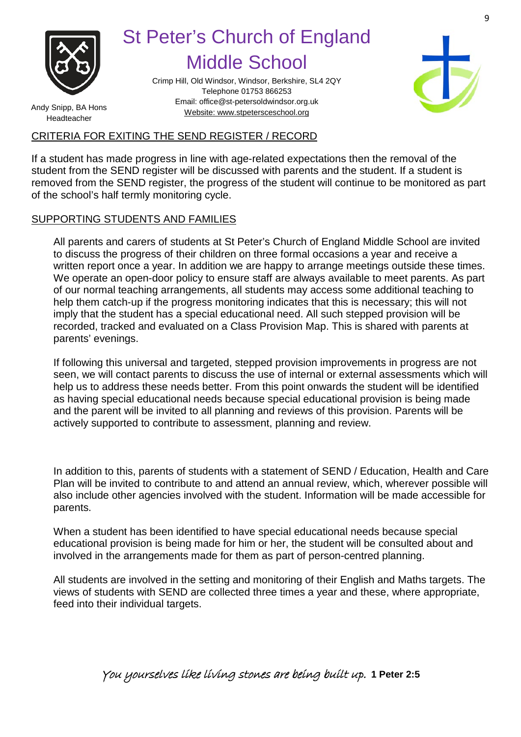

Crimp Hill, Old Windsor, Windsor, Berkshire, SL4 2QY Telephone 01753 866253 Email[: office@st-petersoldwindsor.org.uk](mailto:office@st-petersoldwindsor.org.uk) Andy Snipp, BA Hons<br>Website: www.stpetersceschool.org



Headteacher

#### CRITERIA FOR EXITING THE SEND REGISTER / RECORD

If a student has made progress in line with age-related expectations then the removal of the student from the SEND register will be discussed with parents and the student. If a student is removed from the SEND register, the progress of the student will continue to be monitored as part of the school's half termly monitoring cycle.

### SUPPORTING STUDENTS AND FAMILIES

All parents and carers of students at St Peter's Church of England Middle School are invited to discuss the progress of their children on three formal occasions a year and receive a written report once a year. In addition we are happy to arrange meetings outside these times. We operate an open-door policy to ensure staff are always available to meet parents. As part of our normal teaching arrangements, all students may access some additional teaching to help them catch-up if the progress monitoring indicates that this is necessary; this will not imply that the student has a special educational need. All such stepped provision will be recorded, tracked and evaluated on a Class Provision Map. This is shared with parents at parents' evenings.

If following this universal and targeted, stepped provision improvements in progress are not seen, we will contact parents to discuss the use of internal or external assessments which will help us to address these needs better. From this point onwards the student will be identified as having special educational needs because special educational provision is being made and the parent will be invited to all planning and reviews of this provision. Parents will be actively supported to contribute to assessment, planning and review.

In addition to this, parents of students with a statement of SEND / Education, Health and Care Plan will be invited to contribute to and attend an annual review, which, wherever possible will also include other agencies involved with the student. Information will be made accessible for parents.

When a student has been identified to have special educational needs because special educational provision is being made for him or her, the student will be consulted about and involved in the arrangements made for them as part of person-centred planning.

All students are involved in the setting and monitoring of their English and Maths targets. The views of students with SEND are collected three times a year and these, where appropriate, feed into their individual targets.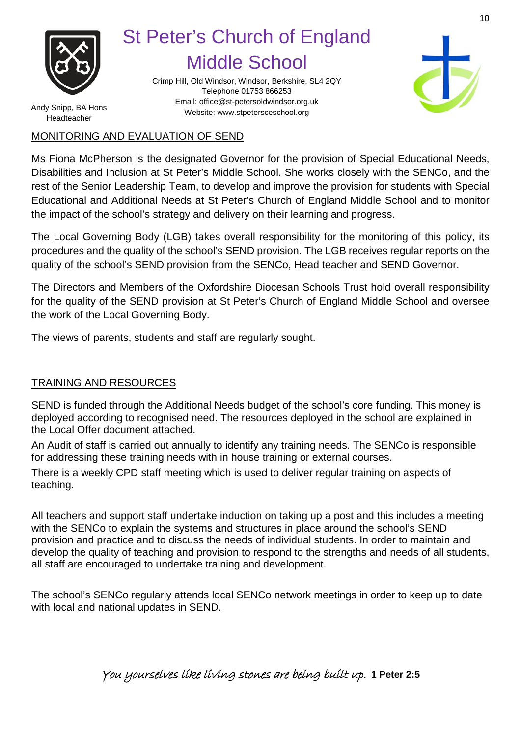

Crimp Hill, Old Windsor, Windsor, Berkshire, SL4 2QY Telephone 01753 866253 Email[: office@st-petersoldwindsor.org.uk](mailto:office@st-petersoldwindsor.org.uk) Andy Snipp, BA Hons<br>Website: www.stpetersceschool.org



Headteacher

#### MONITORING AND EVALUATION OF SEND

Ms Fiona McPherson is the designated Governor for the provision of Special Educational Needs, Disabilities and Inclusion at St Peter's Middle School. She works closely with the SENCo, and the rest of the Senior Leadership Team, to develop and improve the provision for students with Special Educational and Additional Needs at St Peter's Church of England Middle School and to monitor the impact of the school's strategy and delivery on their learning and progress.

The Local Governing Body (LGB) takes overall responsibility for the monitoring of this policy, its procedures and the quality of the school's SEND provision. The LGB receives regular reports on the quality of the school's SEND provision from the SENCo, Head teacher and SEND Governor.

The Directors and Members of the Oxfordshire Diocesan Schools Trust hold overall responsibility for the quality of the SEND provision at St Peter's Church of England Middle School and oversee the work of the Local Governing Body.

The views of parents, students and staff are regularly sought.

### TRAINING AND RESOURCES

SEND is funded through the Additional Needs budget of the school's core funding. This money is deployed according to recognised need. The resources deployed in the school are explained in the Local Offer document attached.

An Audit of staff is carried out annually to identify any training needs. The SENCo is responsible for addressing these training needs with in house training or external courses.

There is a weekly CPD staff meeting which is used to deliver regular training on aspects of teaching.

All teachers and support staff undertake induction on taking up a post and this includes a meeting with the SENCo to explain the systems and structures in place around the school's SEND provision and practice and to discuss the needs of individual students. In order to maintain and develop the quality of teaching and provision to respond to the strengths and needs of all students, all staff are encouraged to undertake training and development.

The school's SENCo regularly attends local SENCo network meetings in order to keep up to date with local and national updates in SEND.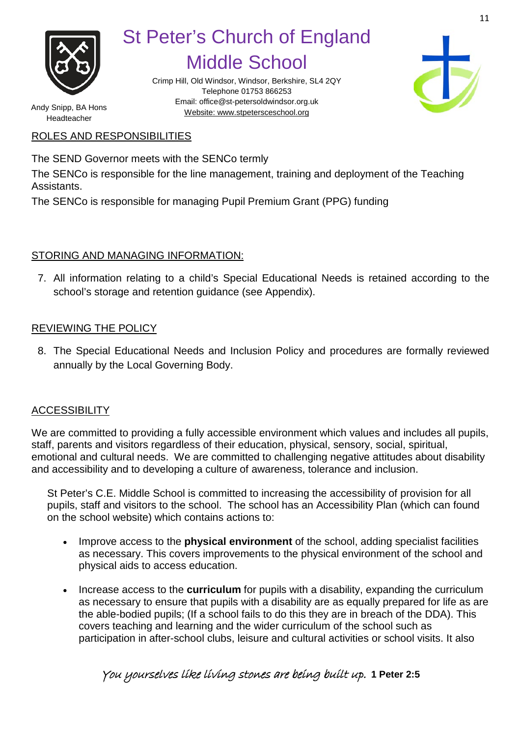

Crimp Hill, Old Windsor, Windsor, Berkshire, SL4 2QY Telephone 01753 866253 Email[: office@st-petersoldwindsor.org.uk](mailto:office@st-petersoldwindsor.org.uk) Andy Snipp, BA Hons<br>Website: www.stpetersceschool.org



Headteacher

#### ROLES AND RESPONSIBILITIES

The SEND Governor meets with the SENCo termly

The SENCo is responsible for the line management, training and deployment of the Teaching Assistants.

The SENCo is responsible for managing Pupil Premium Grant (PPG) funding

#### STORING AND MANAGING INFORMATION:

7. All information relating to a child's Special Educational Needs is retained according to the school's storage and retention guidance (see Appendix).

#### REVIEWING THE POLICY

8. The Special Educational Needs and Inclusion Policy and procedures are formally reviewed annually by the Local Governing Body.

### **ACCESSIBILITY**

We are committed to providing a fully accessible environment which values and includes all pupils, staff, parents and visitors regardless of their education, physical, sensory, social, spiritual, emotional and cultural needs. We are committed to challenging negative attitudes about disability and accessibility and to developing a culture of awareness, tolerance and inclusion.

St Peter's C.E. Middle School is committed to increasing the accessibility of provision for all pupils, staff and visitors to the school. The school has an Accessibility Plan (which can found on the school website) which contains actions to:

- Improve access to the **physical environment** of the school, adding specialist facilities as necessary. This covers improvements to the physical environment of the school and physical aids to access education.
- Increase access to the **curriculum** for pupils with a disability, expanding the curriculum as necessary to ensure that pupils with a disability are as equally prepared for life as are the able-bodied pupils; (If a school fails to do this they are in breach of the DDA). This covers teaching and learning and the wider curriculum of the school such as participation in after-school clubs, leisure and cultural activities or school visits. It also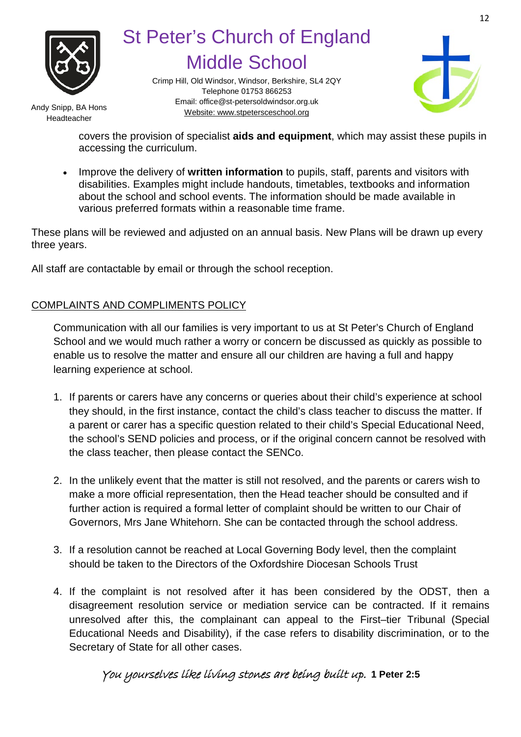

Crimp Hill, Old Windsor, Windsor, Berkshire, SL4 2QY Telephone 01753 866253 Email[: office@st-petersoldwindsor.org.uk](mailto:office@st-petersoldwindsor.org.uk) Andy Snipp, BA Hons<br>Website: www.stpetersceschool.org



Headteacher

covers the provision of specialist **aids and equipment**, which may assist these pupils in accessing the curriculum.

• Improve the delivery of **written information** to pupils, staff, parents and visitors with disabilities. Examples might include handouts, timetables, textbooks and information about the school and school events. The information should be made available in various preferred formats within a reasonable time frame.

These plans will be reviewed and adjusted on an annual basis. New Plans will be drawn up every three years.

All staff are contactable by email or through the school reception.

### COMPLAINTS AND COMPLIMENTS POLICY

Communication with all our families is very important to us at St Peter's Church of England School and we would much rather a worry or concern be discussed as quickly as possible to enable us to resolve the matter and ensure all our children are having a full and happy learning experience at school.

- 1. If parents or carers have any concerns or queries about their child's experience at school they should, in the first instance, contact the child's class teacher to discuss the matter. If a parent or carer has a specific question related to their child's Special Educational Need, the school's SEND policies and process, or if the original concern cannot be resolved with the class teacher, then please contact the SENCo.
- 2. In the unlikely event that the matter is still not resolved, and the parents or carers wish to make a more official representation, then the Head teacher should be consulted and if further action is required a formal letter of complaint should be written to our Chair of Governors, Mrs Jane Whitehorn. She can be contacted through the school address.
- 3. If a resolution cannot be reached at Local Governing Body level, then the complaint should be taken to the Directors of the Oxfordshire Diocesan Schools Trust
- 4. If the complaint is not resolved after it has been considered by the ODST, then a disagreement resolution service or mediation service can be contracted. If it remains unresolved after this, the complainant can appeal to the First–tier Tribunal (Special Educational Needs and Disability), if the case refers to disability discrimination, or to the Secretary of State for all other cases.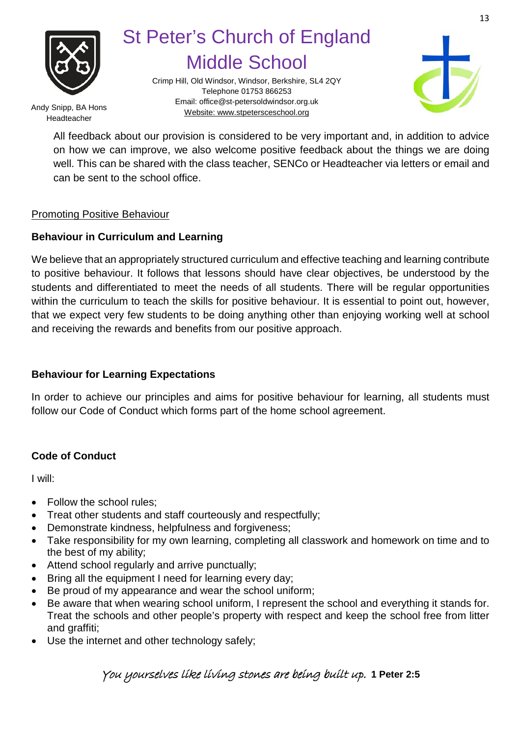

Crimp Hill, Old Windsor, Windsor, Berkshire, SL4 2QY Telephone 01753 866253 Email[: office@st-petersoldwindsor.org.uk](mailto:office@st-petersoldwindsor.org.uk) Andy Snipp, BA Hons<br>Website: www.stpetersceschool.org



Headteacher

All feedback about our provision is considered to be very important and, in addition to advice on how we can improve, we also welcome positive feedback about the things we are doing well. This can be shared with the class teacher, SENCo or Headteacher via letters or email and can be sent to the school office.

#### Promoting Positive Behaviour

#### **Behaviour in Curriculum and Learning**

We believe that an appropriately structured curriculum and effective teaching and learning contribute to positive behaviour. It follows that lessons should have clear objectives, be understood by the students and differentiated to meet the needs of all students. There will be regular opportunities within the curriculum to teach the skills for positive behaviour. It is essential to point out, however, that we expect very few students to be doing anything other than enjoying working well at school and receiving the rewards and benefits from our positive approach.

#### **Behaviour for Learning Expectations**

In order to achieve our principles and aims for positive behaviour for learning, all students must follow our Code of Conduct which forms part of the home school agreement.

#### **Code of Conduct**

I will:

- Follow the school rules;
- Treat other students and staff courteously and respectfully;
- Demonstrate kindness, helpfulness and forgiveness;
- Take responsibility for my own learning, completing all classwork and homework on time and to the best of my ability;
- Attend school regularly and arrive punctually;
- Bring all the equipment I need for learning every day;
- Be proud of my appearance and wear the school uniform;
- Be aware that when wearing school uniform, I represent the school and everything it stands for. Treat the schools and other people's property with respect and keep the school free from litter and graffiti;
- Use the internet and other technology safely;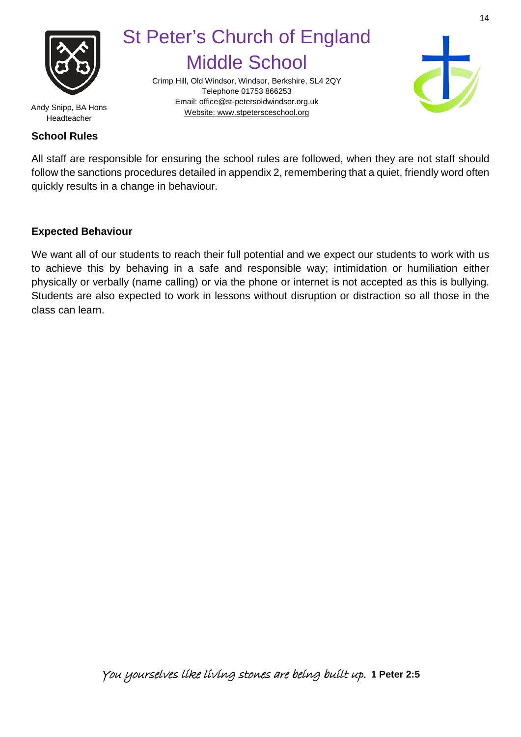

Crimp Hill, Old Windsor, Windsor, Berkshire, SL4 2QY Telephone 01753 866253 Email[: office@st-petersoldwindsor.org.uk](mailto:office@st-petersoldwindsor.org.uk) Andy Snipp, BA Hons<br>Website: www.stpetersceschool.org



Headteacher

#### **School Rules**

All staff are responsible for ensuring the school rules are followed, when they are not staff should follow the sanctions procedures detailed in appendix 2, remembering that a quiet, friendly word often quickly results in a change in behaviour.

#### **Expected Behaviour**

We want all of our students to reach their full potential and we expect our students to work with us to achieve this by behaving in a safe and responsible way; intimidation or humiliation either physically or verbally (name calling) or via the phone or internet is not accepted as this is bullying. Students are also expected to work in lessons without disruption or distraction so all those in the class can learn.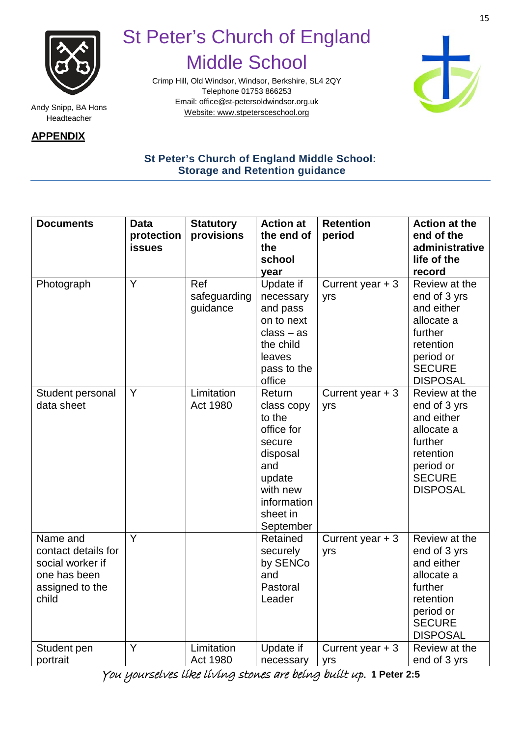

Headteacher

**APPENDIX**

### St Peter's Church of England Middle School

Crimp Hill, Old Windsor, Windsor, Berkshire, SL4 2QY Telephone 01753 866253 Email[: office@st-petersoldwindsor.org.uk](mailto:office@st-petersoldwindsor.org.uk) Andy Snipp, BA Hons<br>Website: www.stpetersceschool.org



### **St Peter's Church of England Middle School: Storage and Retention guidance**

| <b>Documents</b>    | <b>Data</b>   | <b>Statutory</b> | <b>Action at</b> | <b>Retention</b>  | <b>Action at the</b> |
|---------------------|---------------|------------------|------------------|-------------------|----------------------|
|                     | protection    | provisions       | the end of       | period            | end of the           |
|                     | <b>issues</b> |                  | the              |                   | administrative       |
|                     |               |                  | school           |                   | life of the          |
|                     |               |                  | year             |                   | record               |
| Photograph          | Y             | Ref              | Update if        | Current year $+3$ | Review at the        |
|                     |               | safeguarding     | necessary        | yrs               | end of 3 yrs         |
|                     |               | guidance         | and pass         |                   | and either           |
|                     |               |                  | on to next       |                   | allocate a           |
|                     |               |                  | $class - as$     |                   | further              |
|                     |               |                  | the child        |                   | retention            |
|                     |               |                  | leaves           |                   | period or            |
|                     |               |                  | pass to the      |                   | <b>SECURE</b>        |
|                     |               |                  | office           |                   | <b>DISPOSAL</b>      |
| Student personal    | Y             | Limitation       | Return           | Current year $+3$ | Review at the        |
| data sheet          |               | Act 1980         | class copy       | yrs               | end of 3 yrs         |
|                     |               |                  | to the           |                   | and either           |
|                     |               |                  | office for       |                   | allocate a           |
|                     |               |                  | secure           |                   | further              |
|                     |               |                  | disposal         |                   | retention            |
|                     |               |                  | and              |                   | period or            |
|                     |               |                  | update           |                   | <b>SECURE</b>        |
|                     |               |                  | with new         |                   | <b>DISPOSAL</b>      |
|                     |               |                  | information      |                   |                      |
|                     |               |                  | sheet in         |                   |                      |
|                     |               |                  | September        |                   |                      |
| Name and            | Y             |                  | Retained         | Current year $+3$ | Review at the        |
| contact details for |               |                  | securely         | yrs               | end of 3 yrs         |
| social worker if    |               |                  | by SENCo         |                   | and either           |
| one has been        |               |                  | and              |                   | allocate a           |
| assigned to the     |               |                  | Pastoral         |                   | further              |
| child               |               |                  | Leader           |                   | retention            |
|                     |               |                  |                  |                   | period or            |
|                     |               |                  |                  |                   | <b>SECURE</b>        |
|                     |               |                  |                  |                   | <b>DISPOSAL</b>      |
| Student pen         | Ÿ             | Limitation       | Update if        | Current year $+3$ | Review at the        |
| portrait            |               | Act 1980         | necessary        | yrs               | end of 3 yrs         |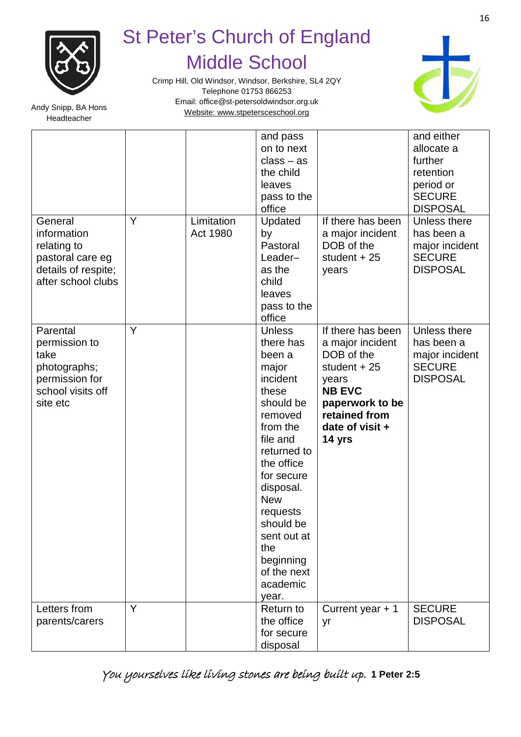

Crimp Hill, Old Windsor, Windsor, Berkshire, SL4 2QY Telephone 01753 866253 Email[: office@st-petersoldwindsor.org.uk](mailto:office@st-petersoldwindsor.org.uk) Andy Snipp, BA Hons<br>Website: www.stpetersceschool.org



Headteacher

|                                                                                                        |   |                        | and pass<br>on to next<br>$class - as$<br>the child<br>leaves<br>pass to the<br>office                                                                                                                                                                                                   |                                                                                                                                                                 | and either<br>allocate a<br>further<br>retention<br>period or<br><b>SECURE</b><br><b>DISPOSAL</b> |
|--------------------------------------------------------------------------------------------------------|---|------------------------|------------------------------------------------------------------------------------------------------------------------------------------------------------------------------------------------------------------------------------------------------------------------------------------|-----------------------------------------------------------------------------------------------------------------------------------------------------------------|---------------------------------------------------------------------------------------------------|
| General<br>information<br>relating to<br>pastoral care eg<br>details of respite;<br>after school clubs | Y | Limitation<br>Act 1980 | Updated<br>by<br>Pastoral<br>Leader-<br>as the<br>child<br>leaves<br>pass to the<br>office                                                                                                                                                                                               | If there has been<br>a major incident<br>DOB of the<br>student $+25$<br>years                                                                                   | Unless there<br>has been a<br>major incident<br><b>SECURE</b><br><b>DISPOSAL</b>                  |
| Parental<br>permission to<br>take<br>photographs;<br>permission for<br>school visits off<br>site etc   | Y |                        | <b>Unless</b><br>there has<br>been a<br>major<br>incident<br>these<br>should be<br>removed<br>from the<br>file and<br>returned to<br>the office<br>for secure<br>disposal.<br><b>New</b><br>requests<br>should be<br>sent out at<br>the<br>beginning<br>of the next<br>academic<br>year. | If there has been<br>a major incident<br>DOB of the<br>student $+25$<br>years<br><b>NB EVC</b><br>paperwork to be<br>retained from<br>date of visit +<br>14 yrs | Unless there<br>has been a<br>major incident<br><b>SECURE</b><br><b>DISPOSAL</b>                  |
| Letters from<br>parents/carers                                                                         | Y |                        | Return to<br>the office<br>for secure<br>disposal                                                                                                                                                                                                                                        | Current year + 1<br>yr                                                                                                                                          | <b>SECURE</b><br><b>DISPOSAL</b>                                                                  |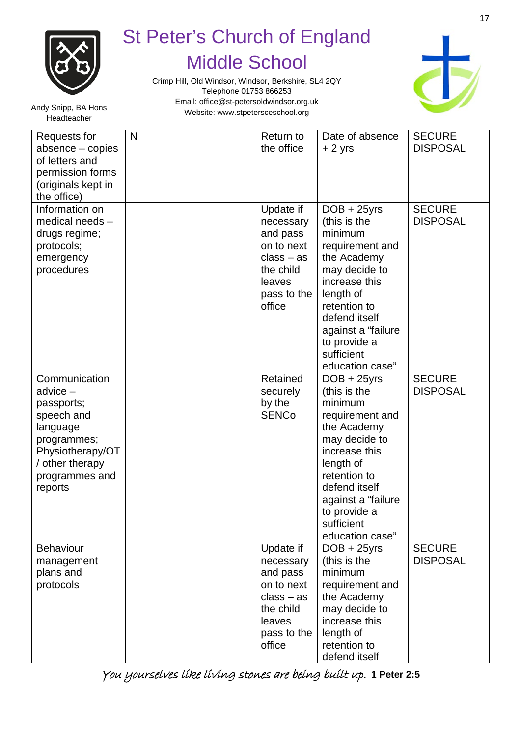

Crimp Hill, Old Windsor, Windsor, Berkshire, SL4 2QY Telephone 01753 866253 Email[: office@st-petersoldwindsor.org.uk](mailto:office@st-petersoldwindsor.org.uk) Andy Snipp, BA Hons<br>Website: www.stpetersceschool.org



Headteacher

| Requests for<br>absence - copies<br>of letters and<br>permission forms<br>(originals kept in<br>the office)                                          | $\mathsf{N}$ | Return to<br>the office                                                                                          | Date of absence<br>$+2$ yrs                                                                                                                                                                                                        | <b>SECURE</b><br><b>DISPOSAL</b> |
|------------------------------------------------------------------------------------------------------------------------------------------------------|--------------|------------------------------------------------------------------------------------------------------------------|------------------------------------------------------------------------------------------------------------------------------------------------------------------------------------------------------------------------------------|----------------------------------|
| Information on<br>medical needs -<br>drugs regime;<br>protocols;<br>emergency<br>procedures                                                          |              | Update if<br>necessary<br>and pass<br>on to next<br>$class - as$<br>the child<br>leaves<br>pass to the<br>office | $DOB + 25yrs$<br>(this is the<br>minimum<br>requirement and<br>the Academy<br>may decide to<br>increase this<br>length of<br>retention to<br>defend itself<br>against a "failure"<br>to provide a<br>sufficient<br>education case" | <b>SECURE</b><br><b>DISPOSAL</b> |
| Communication<br>advice -<br>passports;<br>speech and<br>language<br>programmes;<br>Physiotherapy/OT<br>/ other therapy<br>programmes and<br>reports |              | Retained<br>securely<br>by the<br><b>SENCo</b>                                                                   | $DOB + 25yrs$<br>(this is the<br>minimum<br>requirement and<br>the Academy<br>may decide to<br>increase this<br>length of<br>retention to<br>defend itself<br>against a "failure"<br>to provide a<br>sufficient<br>education case" | <b>SECURE</b><br><b>DISPOSAL</b> |
| <b>Behaviour</b><br>management<br>plans and<br>protocols                                                                                             |              | Update if<br>necessary<br>and pass<br>on to next<br>$class - as$<br>the child<br>leaves<br>pass to the<br>office | $DOB + 25yrs$<br>(this is the<br>minimum<br>requirement and<br>the Academy<br>may decide to<br>increase this<br>length of<br>retention to<br>defend itself                                                                         | <b>SECURE</b><br><b>DISPOSAL</b> |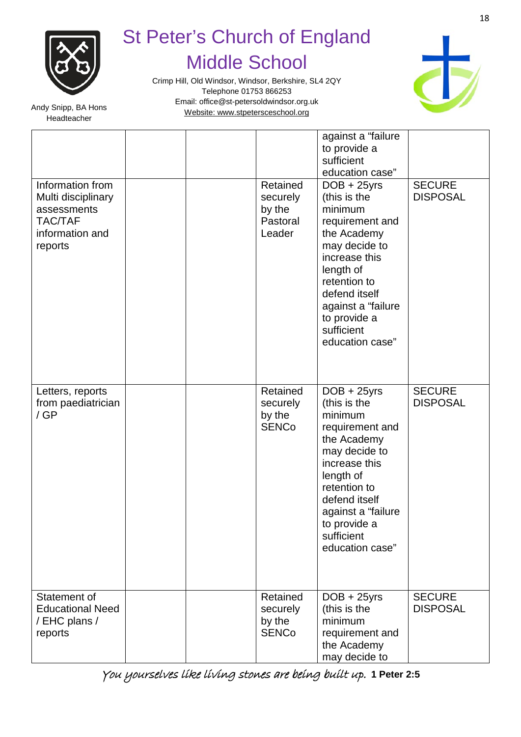

Crimp Hill, Old Windsor, Windsor, Berkshire, SL4 2QY Telephone 01753 866253 Email[: office@st-petersoldwindsor.org.uk](mailto:office@st-petersoldwindsor.org.uk) Andy Snipp, BA Hons<br>Website: www.stpetersceschool.org



Headteacher

| Information from<br>Multi disciplinary<br>assessments<br>TAC/TAF<br>information and<br>reports | Retained<br>securely<br>by the<br>Pastoral<br>Leader | against a "failure"<br>to provide a<br>sufficient<br>education case"<br>$DOB + 25yrs$<br>(this is the<br>minimum<br>requirement and<br>the Academy<br>may decide to<br>increase this<br>length of<br>retention to<br>defend itself<br>against a "failure<br>to provide a<br>sufficient<br>education case" | <b>SECURE</b><br><b>DISPOSAL</b> |
|------------------------------------------------------------------------------------------------|------------------------------------------------------|-----------------------------------------------------------------------------------------------------------------------------------------------------------------------------------------------------------------------------------------------------------------------------------------------------------|----------------------------------|
| Letters, reports<br>from paediatrician<br>/GP                                                  | Retained<br>securely<br>by the<br><b>SENCo</b>       | $DOB + 25yrs$<br>(this is the<br>minimum<br>requirement and<br>the Academy<br>may decide to<br>increase this<br>length of<br>retention to<br>defend itself<br>against a "failure<br>to provide a<br>sufficient<br>education case"                                                                         | <b>SECURE</b><br><b>DISPOSAL</b> |
| Statement of<br><b>Educational Need</b><br>/ EHC plans /<br>reports                            | Retained<br>securely<br>by the<br><b>SENCo</b>       | $DOB + 25yrs$<br>(this is the<br>minimum<br>requirement and<br>the Academy<br>may decide to                                                                                                                                                                                                               | <b>SECURE</b><br><b>DISPOSAL</b> |